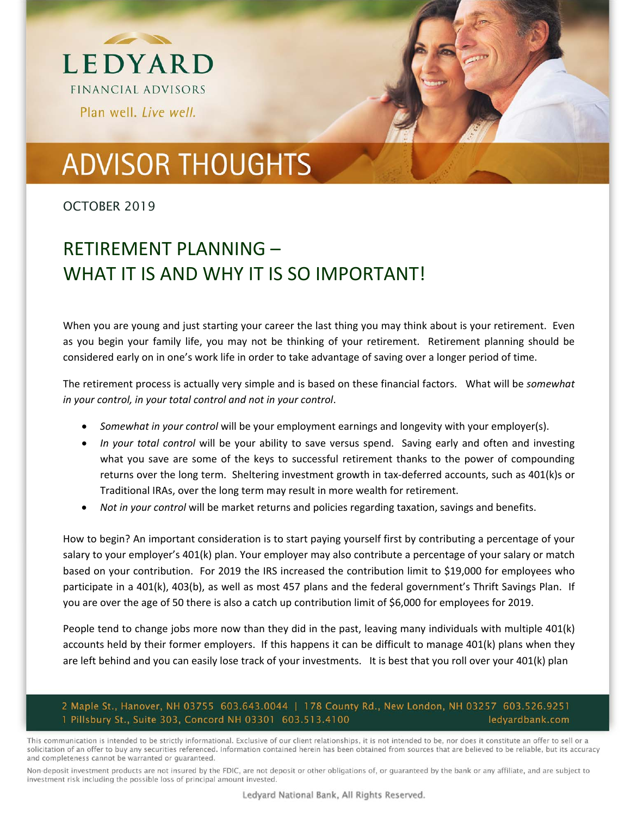

# **ADVISOR THOUGHTS**

OCTOBER 2019

### RETIREMENT PLANNING – WHAT IT IS AND WHY IT IS SO IMPORTANT!

When you are young and just starting your career the last thing you may think about is your retirement. Even as you begin your family life, you may not be thinking of your retirement. Retirement planning should be considered early on in one's work life in order to take advantage of saving over a longer period of time.

The retirement process is actually very simple and is based on these financial factors. What will be *somewhat in your control, in your total control and not in your control*.

- *Somewhat in your control* will be your employment earnings and longevity with your employer(s).
- *In your total control* will be your ability to save versus spend. Saving early and often and investing what you save are some of the keys to successful retirement thanks to the power of compounding returns over the long term. Sheltering investment growth in tax-deferred accounts, such as 401(k)s or Traditional IRAs, over the long term may result in more wealth for retirement.
- *Not in your control* will be market returns and policies regarding taxation, savings and benefits.

How to begin? An important consideration is to start paying yourself first by contributing a percentage of your salary to your employer's 401(k) plan. Your employer may also contribute a percentage of your salary or match based on your contribution. For 2019 the IRS increased the contribution limit to \$19,000 for employees who participate in a 401(k), 403(b), as well as most 457 plans and the federal government's Thrift Savings Plan. If you are over the age of 50 there is also a catch up contribution limit of \$6,000 for employees for 2019.

People tend to change jobs more now than they did in the past, leaving many individuals with multiple 401(k) accounts held by their former employers. If this happens it can be difficult to manage 401(k) plans when they are left behind and you can easily lose track of your investments. It is best that you roll over your 401(k) plan

#### 2 Maple St., Hanover, NH 03755 603.643.0044 | 178 County Rd., New London, NH 03257 603.526.9251 1 Pillsbury St., Suite 303, Concord NH 03301 603.513.4100 ledyardbank.com

This communication is intended to be strictly informational. Exclusive of our client relationships, it is not intended to be, nor does it constitute an offer to sell or a solicitation of an offer to buy any securities referenced. Information contained herein has been obtained from sources that are believed to be reliable, but its accuracy and completeness cannot be warranted or guaranteed.

Non-deposit investment products are not insured by the FDIC, are not deposit or other obligations of, or guaranteed by the bank or any affiliate, and are subject to investment risk including the possible loss of principal amount invested.

Ledyard National Bank, All Rights Reserved.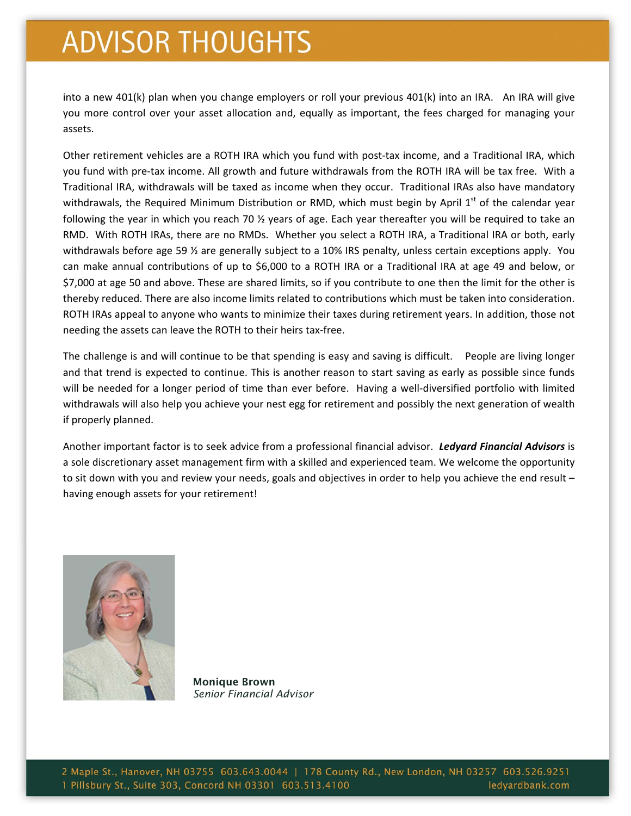## **ADVISOR THOUGHTS**

into a new 401(k) plan when you change employers or roll your previous 401(k) into an IRA. An IRA will give you more control over your asset allocation and, equally as important, the fees charged for managing your assets.

Other retirement vehicles are a ROTH IRA which you fund with post-tax income, and a Traditional IRA, which you fund with pre‐tax income. All growth and future withdrawals from the ROTH IRA will be tax free. With a Traditional IRA, withdrawals will be taxed as income when they occur. Traditional IRAs also have mandatory withdrawals, the Required Minimum Distribution or RMD, which must begin by April 1<sup>st</sup> of the calendar year following the year in which you reach 70 ½ years of age. Each year thereafter you will be required to take an RMD. With ROTH IRAs, there are no RMDs. Whether you select a ROTH IRA, a Traditional IRA or both, early withdrawals before age 59 ½ are generally subject to a 10% IRS penalty, unless certain exceptions apply. You can make annual contributions of up to \$6,000 to a ROTH IRA or a Traditional IRA at age 49 and below, or \$7,000 at age 50 and above. These are shared limits, so if you contribute to one then the limit for the other is thereby reduced. There are also income limits related to contributions which must be taken into consideration. ROTH IRAs appeal to anyone who wants to minimize their taxes during retirement years. In addition, those not needing the assets can leave the ROTH to their heirs tax‐free.

The challenge is and will continue to be that spending is easy and saving is difficult. People are living longer and that trend is expected to continue. This is another reason to start saving as early as possible since funds will be needed for a longer period of time than ever before. Having a well-diversified portfolio with limited withdrawals will also help you achieve your nest egg for retirement and possibly the next generation of wealth if properly planned.

Another important factor is to seek advice from a professional financial advisor. *Ledyard Financial Advisors* is a sole discretionary asset management firm with a skilled and experienced team. We welcome the opportunity to sit down with you and review your needs, goals and objectives in order to help you achieve the end result – having enough assets for your retirement!



Monique Brown *Senior Financial Advisor*